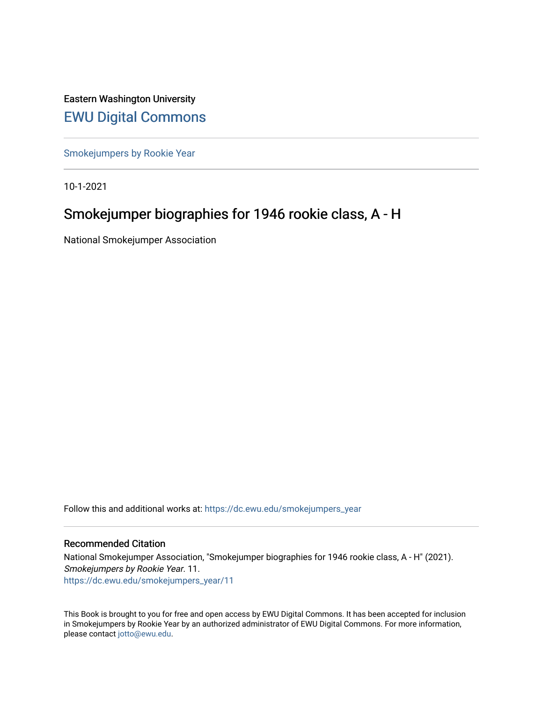Eastern Washington University [EWU Digital Commons](https://dc.ewu.edu/)

[Smokejumpers by Rookie Year](https://dc.ewu.edu/smokejumpers_year)

10-1-2021

# Smokejumper biographies for 1946 rookie class, A - H

National Smokejumper Association

Follow this and additional works at: [https://dc.ewu.edu/smokejumpers\\_year](https://dc.ewu.edu/smokejumpers_year?utm_source=dc.ewu.edu%2Fsmokejumpers_year%2F11&utm_medium=PDF&utm_campaign=PDFCoverPages) 

#### Recommended Citation

National Smokejumper Association, "Smokejumper biographies for 1946 rookie class, A - H" (2021). Smokejumpers by Rookie Year. 11. [https://dc.ewu.edu/smokejumpers\\_year/11](https://dc.ewu.edu/smokejumpers_year/11?utm_source=dc.ewu.edu%2Fsmokejumpers_year%2F11&utm_medium=PDF&utm_campaign=PDFCoverPages)

This Book is brought to you for free and open access by EWU Digital Commons. It has been accepted for inclusion in Smokejumpers by Rookie Year by an authorized administrator of EWU Digital Commons. For more information, please contact [jotto@ewu.edu](mailto:jotto@ewu.edu).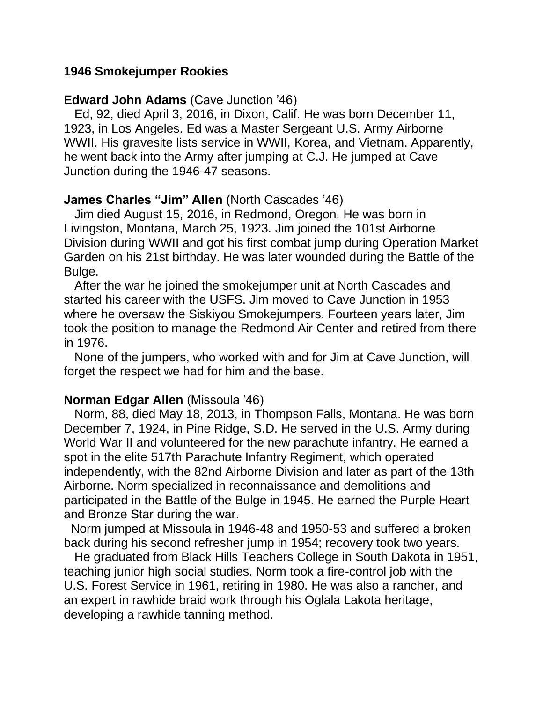### **1946 Smokejumper Rookies**

### **Edward John Adams** (Cave Junction '46)

 Ed, 92, died April 3, 2016, in Dixon, Calif. He was born December 11, 1923, in Los Angeles. Ed was a Master Sergeant U.S. Army Airborne WWII. His gravesite lists service in WWII, Korea, and Vietnam. Apparently, he went back into the Army after jumping at C.J. He jumped at Cave Junction during the 1946-47 seasons.

### **James Charles "Jim" Allen** (North Cascades '46)

 Jim died August 15, 2016, in Redmond, Oregon. He was born in Livingston, Montana, March 25, 1923. Jim joined the 101st Airborne Division during WWII and got his first combat jump during Operation Market Garden on his 21st birthday. He was later wounded during the Battle of the Bulge.

 After the war he joined the smokejumper unit at North Cascades and started his career with the USFS. Jim moved to Cave Junction in 1953 where he oversaw the Siskiyou Smokejumpers. Fourteen years later, Jim took the position to manage the Redmond Air Center and retired from there in 1976.

 None of the jumpers, who worked with and for Jim at Cave Junction, will forget the respect we had for him and the base.

## **Norman Edgar Allen** (Missoula '46)

 Norm, 88, died May 18, 2013, in Thompson Falls, Montana. He was born December 7, 1924, in Pine Ridge, S.D. He served in the U.S. Army during World War II and volunteered for the new parachute infantry. He earned a spot in the elite 517th Parachute Infantry Regiment, which operated independently, with the 82nd Airborne Division and later as part of the 13th Airborne. Norm specialized in reconnaissance and demolitions and participated in the Battle of the Bulge in 1945. He earned the Purple Heart and Bronze Star during the war.

 Norm jumped at Missoula in 1946-48 and 1950-53 and suffered a broken back during his second refresher jump in 1954; recovery took two years.

 He graduated from Black Hills Teachers College in South Dakota in 1951, teaching junior high social studies. Norm took a fire-control job with the U.S. Forest Service in 1961, retiring in 1980. He was also a rancher, and an expert in rawhide braid work through his Oglala Lakota heritage, developing a rawhide tanning method.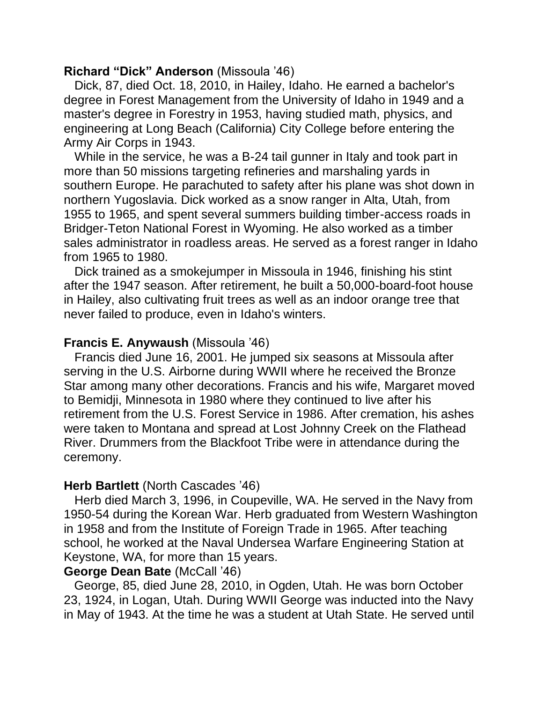## **Richard "Dick" Anderson** (Missoula '46)

 Dick, 87, died Oct. 18, 2010, in Hailey, Idaho. He earned a bachelor's degree in Forest Management from the University of Idaho in 1949 and a master's degree in Forestry in 1953, having studied math, physics, and engineering at Long Beach (California) City College before entering the Army Air Corps in 1943.

 While in the service, he was a B-24 tail gunner in Italy and took part in more than 50 missions targeting refineries and marshaling yards in southern Europe. He parachuted to safety after his plane was shot down in northern Yugoslavia. Dick worked as a snow ranger in Alta, Utah, from 1955 to 1965, and spent several summers building timber-access roads in Bridger-Teton National Forest in Wyoming. He also worked as a timber sales administrator in roadless areas. He served as a forest ranger in Idaho from 1965 to 1980.

 Dick trained as a smokejumper in Missoula in 1946, finishing his stint after the 1947 season. After retirement, he built a 50,000-board-foot house in Hailey, also cultivating fruit trees as well as an indoor orange tree that never failed to produce, even in Idaho's winters.

## **Francis E. Anywaush** (Missoula '46)

 Francis died June 16, 2001. He jumped six seasons at Missoula after serving in the U.S. Airborne during WWII where he received the Bronze Star among many other decorations. Francis and his wife, Margaret moved to Bemidji, Minnesota in 1980 where they continued to live after his retirement from the U.S. Forest Service in 1986. After cremation, his ashes were taken to Montana and spread at Lost Johnny Creek on the Flathead River. Drummers from the Blackfoot Tribe were in attendance during the ceremony.

## **Herb Bartlett** (North Cascades '46)

 Herb died March 3, 1996, in Coupeville, WA. He served in the Navy from 1950-54 during the Korean War. Herb graduated from Western Washington in 1958 and from the Institute of Foreign Trade in 1965. After teaching school, he worked at the Naval Undersea Warfare Engineering Station at Keystone, WA, for more than 15 years.

#### **George Dean Bate** (McCall '46)

 George, 85, died June 28, 2010, in Ogden, Utah. He was born October 23, 1924, in Logan, Utah. During WWII George was inducted into the Navy in May of 1943. At the time he was a student at Utah State. He served until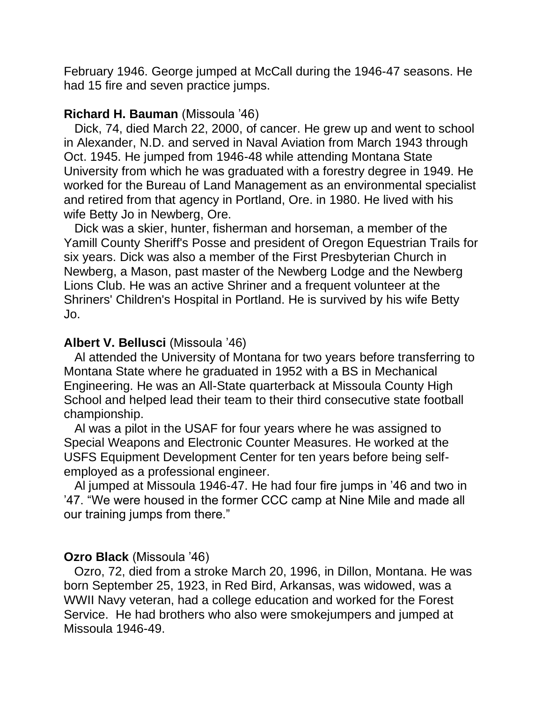February 1946. George jumped at McCall during the 1946-47 seasons. He had 15 fire and seven practice jumps.

## **Richard H. Bauman** (Missoula '46)

 Dick, 74, died March 22, 2000, of cancer. He grew up and went to school in Alexander, N.D. and served in Naval Aviation from March 1943 through Oct. 1945. He jumped from 1946-48 while attending Montana State University from which he was graduated with a forestry degree in 1949. He worked for the Bureau of Land Management as an environmental specialist and retired from that agency in Portland, Ore. in 1980. He lived with his wife Betty Jo in Newberg, Ore.

 Dick was a skier, hunter, fisherman and horseman, a member of the Yamill County Sheriff's Posse and president of Oregon Equestrian Trails for six years. Dick was also a member of the First Presbyterian Church in Newberg, a Mason, past master of the Newberg Lodge and the Newberg Lions Club. He was an active Shriner and a frequent volunteer at the Shriners' Children's Hospital in Portland. He is survived by his wife Betty Jo.

## **Albert V. Bellusci** (Missoula '46)

 Al attended the University of Montana for two years before transferring to Montana State where he graduated in 1952 with a BS in Mechanical Engineering. He was an All-State quarterback at Missoula County High School and helped lead their team to their third consecutive state football championship.

 Al was a pilot in the USAF for four years where he was assigned to Special Weapons and Electronic Counter Measures. He worked at the USFS Equipment Development Center for ten years before being selfemployed as a professional engineer.

 Al jumped at Missoula 1946-47. He had four fire jumps in '46 and two in '47. "We were housed in the former CCC camp at Nine Mile and made all our training jumps from there."

## **Ozro Black** (Missoula '46)

 Ozro, 72, died from a stroke March 20, 1996, in Dillon, Montana. He was born September 25, 1923, in Red Bird, Arkansas, was widowed, was a WWII Navy veteran, had a college education and worked for the Forest Service. He had brothers who also were smokejumpers and jumped at Missoula 1946-49.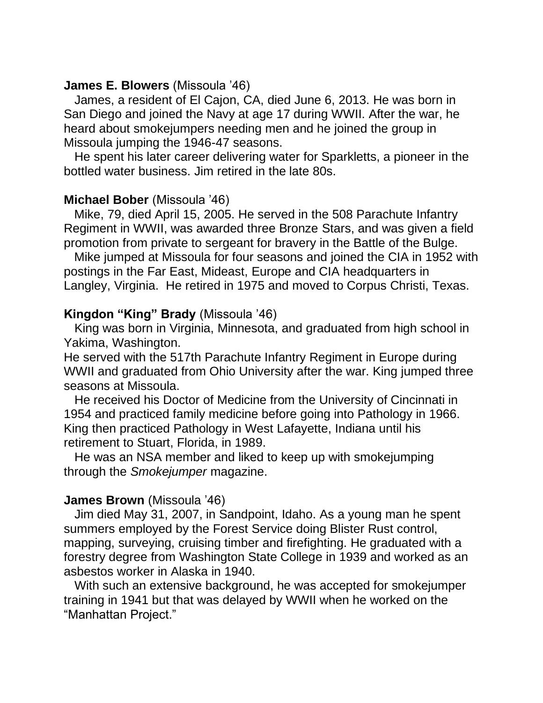### **James E. Blowers** (Missoula '46)

 James, a resident of El Cajon, CA, died June 6, 2013. He was born in San Diego and joined the Navy at age 17 during WWII. After the war, he heard about smokejumpers needing men and he joined the group in Missoula jumping the 1946-47 seasons.

 He spent his later career delivering water for Sparkletts, a pioneer in the bottled water business. Jim retired in the late 80s.

### **Michael Bober** (Missoula '46)

 Mike, 79, died April 15, 2005. He served in the 508 Parachute Infantry Regiment in WWII, was awarded three Bronze Stars, and was given a field promotion from private to sergeant for bravery in the Battle of the Bulge.

 Mike jumped at Missoula for four seasons and joined the CIA in 1952 with postings in the Far East, Mideast, Europe and CIA headquarters in Langley, Virginia. He retired in 1975 and moved to Corpus Christi, Texas.

## **Kingdon "King" Brady** (Missoula '46)

 King was born in Virginia, Minnesota, and graduated from high school in Yakima, Washington.

He served with the 517th Parachute Infantry Regiment in Europe during WWII and graduated from Ohio University after the war. King jumped three seasons at Missoula.

 He received his Doctor of Medicine from the University of Cincinnati in 1954 and practiced family medicine before going into Pathology in 1966. King then practiced Pathology in West Lafayette, Indiana until his retirement to Stuart, Florida, in 1989.

 He was an NSA member and liked to keep up with smokejumping through the *Smokejumper* magazine.

## **James Brown** (Missoula '46)

 Jim died May 31, 2007, in Sandpoint, Idaho. As a young man he spent summers employed by the Forest Service doing Blister Rust control, mapping, surveying, cruising timber and firefighting. He graduated with a forestry degree from Washington State College in 1939 and worked as an asbestos worker in Alaska in 1940.

 With such an extensive background, he was accepted for smokejumper training in 1941 but that was delayed by WWII when he worked on the "Manhattan Project."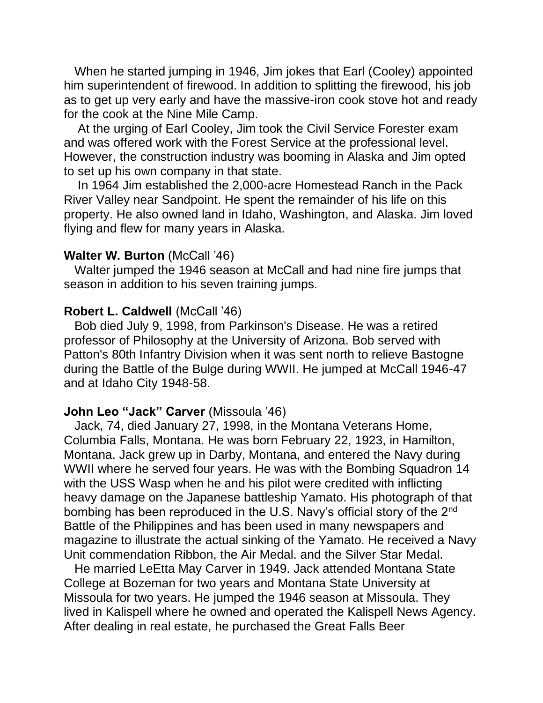When he started jumping in 1946, Jim jokes that Earl (Cooley) appointed him superintendent of firewood. In addition to splitting the firewood, his job as to get up very early and have the massive-iron cook stove hot and ready for the cook at the Nine Mile Camp.

 At the urging of Earl Cooley, Jim took the Civil Service Forester exam and was offered work with the Forest Service at the professional level. However, the construction industry was booming in Alaska and Jim opted to set up his own company in that state.

 In 1964 Jim established the 2,000-acre Homestead Ranch in the Pack River Valley near Sandpoint. He spent the remainder of his life on this property. He also owned land in Idaho, Washington, and Alaska. Jim loved flying and flew for many years in Alaska.

#### **Walter W. Burton** (McCall '46)

 Walter jumped the 1946 season at McCall and had nine fire jumps that season in addition to his seven training jumps.

### **Robert L. Caldwell (McCall '46)**

 Bob died July 9, 1998, from Parkinson's Disease. He was a retired professor of Philosophy at the University of Arizona. Bob served with Patton's 80th Infantry Division when it was sent north to relieve Bastogne during the Battle of the Bulge during WWII. He jumped at McCall 1946-47 and at Idaho City 1948-58.

## **John Leo "Jack" Carver** (Missoula '46)

 Jack, 74, died January 27, 1998, in the Montana Veterans Home, Columbia Falls, Montana. He was born February 22, 1923, in Hamilton, Montana. Jack grew up in Darby, Montana, and entered the Navy during WWII where he served four years. He was with the Bombing Squadron 14 with the USS Wasp when he and his pilot were credited with inflicting heavy damage on the Japanese battleship Yamato. His photograph of that bombing has been reproduced in the U.S. Navy's official story of the 2<sup>nd</sup> Battle of the Philippines and has been used in many newspapers and magazine to illustrate the actual sinking of the Yamato. He received a Navy Unit commendation Ribbon, the Air Medal. and the Silver Star Medal.

 He married LeEtta May Carver in 1949. Jack attended Montana State College at Bozeman for two years and Montana State University at Missoula for two years. He jumped the 1946 season at Missoula. They lived in Kalispell where he owned and operated the Kalispell News Agency. After dealing in real estate, he purchased the Great Falls Beer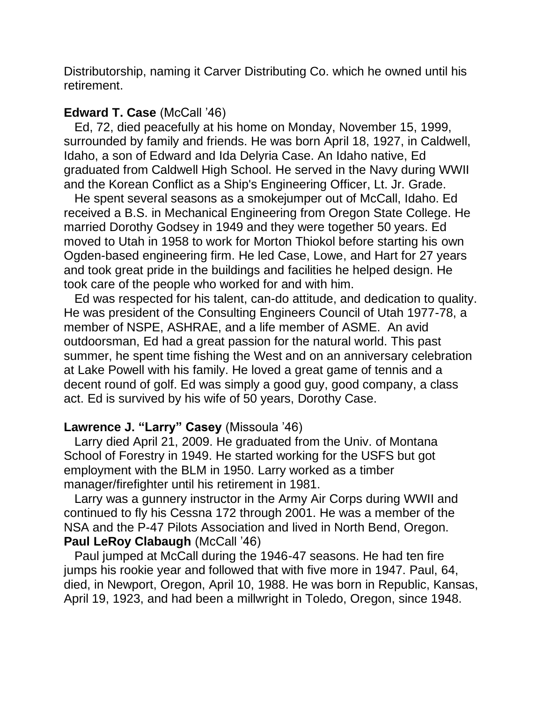Distributorship, naming it Carver Distributing Co. which he owned until his retirement.

## **Edward T. Case** (McCall '46)

 Ed, 72, died peacefully at his home on Monday, November 15, 1999, surrounded by family and friends. He was born April 18, 1927, in Caldwell, Idaho, a son of Edward and Ida Delyria Case. An Idaho native, Ed graduated from Caldwell High School. He served in the Navy during WWII and the Korean Conflict as a Ship's Engineering Officer, Lt. Jr. Grade.

 He spent several seasons as a smokejumper out of McCall, Idaho. Ed received a B.S. in Mechanical Engineering from Oregon State College. He married Dorothy Godsey in 1949 and they were together 50 years. Ed moved to Utah in 1958 to work for Morton Thiokol before starting his own Ogden-based engineering firm. He led Case, Lowe, and Hart for 27 years and took great pride in the buildings and facilities he helped design. He took care of the people who worked for and with him.

 Ed was respected for his talent, can-do attitude, and dedication to quality. He was president of the Consulting Engineers Council of Utah 1977-78, a member of NSPE, ASHRAE, and a life member of ASME. An avid outdoorsman, Ed had a great passion for the natural world. This past summer, he spent time fishing the West and on an anniversary celebration at Lake Powell with his family. He loved a great game of tennis and a decent round of golf. Ed was simply a good guy, good company, a class act. Ed is survived by his wife of 50 years, Dorothy Case.

## **Lawrence J. "Larry" Casey** (Missoula '46)

 Larry died April 21, 2009. He graduated from the Univ. of Montana School of Forestry in 1949. He started working for the USFS but got employment with the BLM in 1950. Larry worked as a timber manager/firefighter until his retirement in 1981.

 Larry was a gunnery instructor in the Army Air Corps during WWII and continued to fly his Cessna 172 through 2001. He was a member of the NSA and the P-47 Pilots Association and lived in North Bend, Oregon. **Paul LeRoy Clabaugh** (McCall '46)

 Paul jumped at McCall during the 1946-47 seasons. He had ten fire jumps his rookie year and followed that with five more in 1947. Paul, 64, died, in Newport, Oregon, April 10, 1988. He was born in Republic, Kansas, April 19, 1923, and had been a millwright in Toledo, Oregon, since 1948.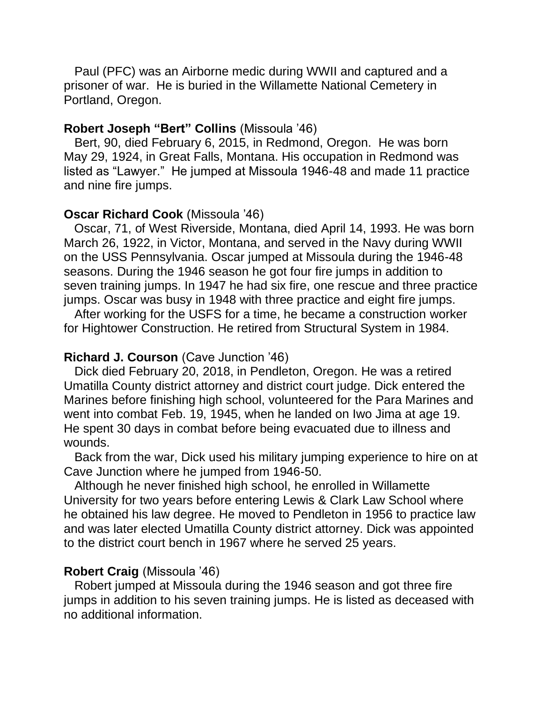Paul (PFC) was an Airborne medic during WWII and captured and a prisoner of war. He is buried in the Willamette National Cemetery in Portland, Oregon.

#### **Robert Joseph "Bert" Collins** (Missoula '46)

 Bert, 90, died February 6, 2015, in Redmond, Oregon. He was born May 29, 1924, in Great Falls, Montana. His occupation in Redmond was listed as "Lawyer." He jumped at Missoula 1946-48 and made 11 practice and nine fire jumps.

#### **Oscar Richard Cook** (Missoula '46)

 Oscar, 71, of West Riverside, Montana, died April 14, 1993. He was born March 26, 1922, in Victor, Montana, and served in the Navy during WWII on the USS Pennsylvania. Oscar jumped at Missoula during the 1946-48 seasons. During the 1946 season he got four fire jumps in addition to seven training jumps. In 1947 he had six fire, one rescue and three practice jumps. Oscar was busy in 1948 with three practice and eight fire jumps.

 After working for the USFS for a time, he became a construction worker for Hightower Construction. He retired from Structural System in 1984.

#### **Richard J. Courson** (Cave Junction '46)

 Dick died February 20, 2018, in Pendleton, Oregon. He was a retired Umatilla County district attorney and district court judge. Dick entered the Marines before finishing high school, volunteered for the Para Marines and went into combat Feb. 19, 1945, when he landed on Iwo Jima at age 19. He spent 30 days in combat before being evacuated due to illness and wounds.

 Back from the war, Dick used his military jumping experience to hire on at Cave Junction where he jumped from 1946-50.

 Although he never finished high school, he enrolled in Willamette University for two years before entering Lewis & Clark Law School where he obtained his law degree. He moved to Pendleton in 1956 to practice law and was later elected Umatilla County district attorney. Dick was appointed to the district court bench in 1967 where he served 25 years.

#### **Robert Craig** (Missoula '46)

 Robert jumped at Missoula during the 1946 season and got three fire jumps in addition to his seven training jumps. He is listed as deceased with no additional information.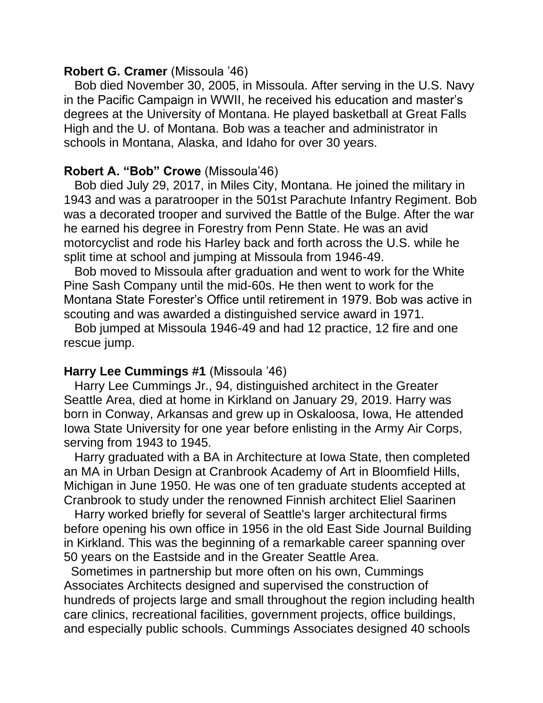## **Robert G. Cramer** (Missoula '46)

 Bob died November 30, 2005, in Missoula. After serving in the U.S. Navy in the Pacific Campaign in WWII, he received his education and master's degrees at the University of Montana. He played basketball at Great Falls High and the U. of Montana. Bob was a teacher and administrator in schools in Montana, Alaska, and Idaho for over 30 years.

### **Robert A. "Bob" Crowe** (Missoula'46)

 Bob died July 29, 2017, in Miles City, Montana. He joined the military in 1943 and was a paratrooper in the 501st Parachute Infantry Regiment. Bob was a decorated trooper and survived the Battle of the Bulge. After the war he earned his degree in Forestry from Penn State. He was an avid motorcyclist and rode his Harley back and forth across the U.S. while he split time at school and jumping at Missoula from 1946-49.

 Bob moved to Missoula after graduation and went to work for the White Pine Sash Company until the mid-60s. He then went to work for the Montana State Forester's Office until retirement in 1979. Bob was active in scouting and was awarded a distinguished service award in 1971.

 Bob jumped at Missoula 1946-49 and had 12 practice, 12 fire and one rescue jump.

#### **Harry Lee Cummings #1** (Missoula '46)

 Harry Lee Cummings Jr., 94, distinguished architect in the Greater Seattle Area, died at home in Kirkland on January 29, 2019. Harry was born in Conway, Arkansas and grew up in Oskaloosa, Iowa, He attended Iowa State University for one year before enlisting in the Army Air Corps, serving from 1943 to 1945.

 Harry graduated with a BA in Architecture at Iowa State, then completed an MA in Urban Design at Cranbrook Academy of Art in Bloomfield Hills, Michigan in June 1950. He was one of ten graduate students accepted at Cranbrook to study under the renowned Finnish architect Eliel Saarinen

 Harry worked briefly for several of Seattle's larger architectural firms before opening his own office in 1956 in the old East Side Journal Building in Kirkland. This was the beginning of a remarkable career spanning over 50 years on the Eastside and in the Greater Seattle Area.

 Sometimes in partnership but more often on his own, Cummings Associates Architects designed and supervised the construction of hundreds of projects large and small throughout the region including health care clinics, recreational facilities, government projects, office buildings, and especially public schools. Cummings Associates designed 40 schools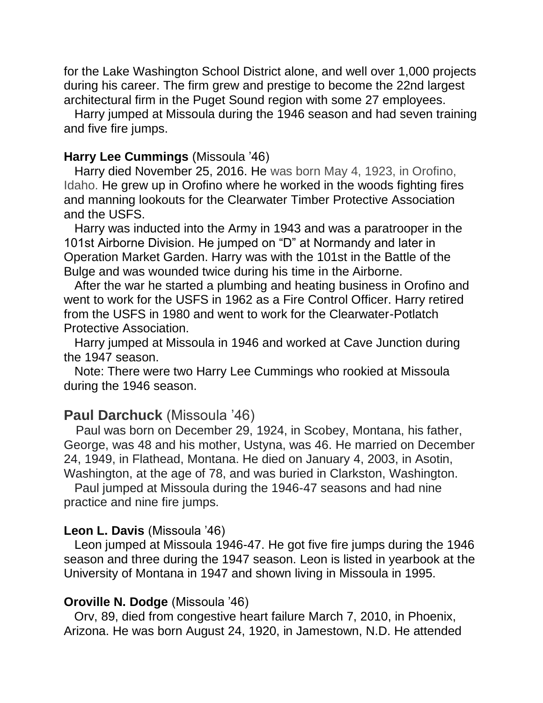for the Lake Washington School District alone, and well over 1,000 projects during his career. The firm grew and prestige to become the 22nd largest architectural firm in the Puget Sound region with some 27 employees.

 Harry jumped at Missoula during the 1946 season and had seven training and five fire jumps.

### **Harry Lee Cummings** (Missoula '46)

 Harry died November 25, 2016. He was born May 4, 1923, in Orofino, Idaho. He grew up in Orofino where he worked in the woods fighting fires and manning lookouts for the Clearwater Timber Protective Association and the USFS.

 Harry was inducted into the Army in 1943 and was a paratrooper in the 101st Airborne Division. He jumped on "D" at Normandy and later in Operation Market Garden. Harry was with the 101st in the Battle of the Bulge and was wounded twice during his time in the Airborne.

 After the war he started a plumbing and heating business in Orofino and went to work for the USFS in 1962 as a Fire Control Officer. Harry retired from the USFS in 1980 and went to work for the Clearwater-Potlatch Protective Association.

 Harry jumped at Missoula in 1946 and worked at Cave Junction during the 1947 season.

 Note: There were two Harry Lee Cummings who rookied at Missoula during the 1946 season.

## **Paul Darchuck** (Missoula '46)

 Paul was born on December 29, 1924, in Scobey, Montana, his father, George, was 48 and his mother, Ustyna, was 46. He married on December 24, 1949, in Flathead, Montana. He died on January 4, 2003, in Asotin, Washington, at the age of 78, and was buried in Clarkston, Washington.

 Paul jumped at Missoula during the 1946-47 seasons and had nine practice and nine fire jumps.

#### **Leon L. Davis** (Missoula '46)

 Leon jumped at Missoula 1946-47. He got five fire jumps during the 1946 season and three during the 1947 season. Leon is listed in yearbook at the University of Montana in 1947 and shown living in Missoula in 1995.

#### **Oroville N. Dodge** (Missoula '46)

 Orv, 89, died from congestive heart failure March 7, 2010, in Phoenix, Arizona. He was born August 24, 1920, in Jamestown, N.D. He attended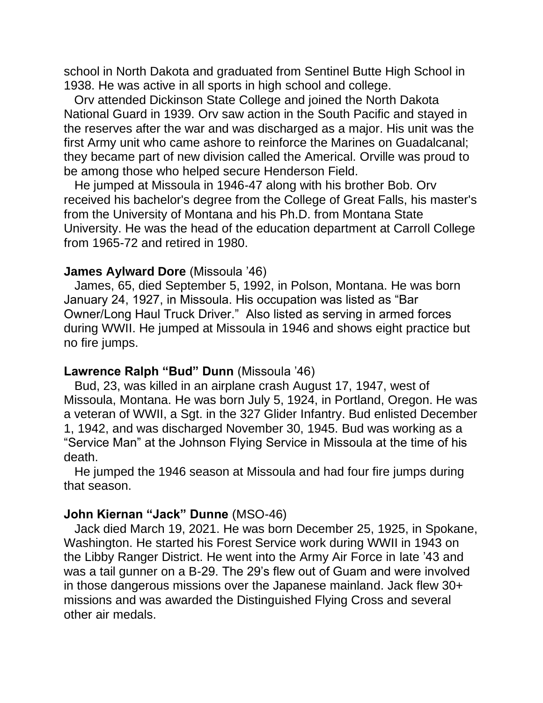school in North Dakota and graduated from Sentinel Butte High School in 1938. He was active in all sports in high school and college.

 Orv attended Dickinson State College and joined the North Dakota National Guard in 1939. Orv saw action in the South Pacific and stayed in the reserves after the war and was discharged as a major. His unit was the first Army unit who came ashore to reinforce the Marines on Guadalcanal; they became part of new division called the Americal. Orville was proud to be among those who helped secure Henderson Field.

 He jumped at Missoula in 1946-47 along with his brother Bob. Orv received his bachelor's degree from the College of Great Falls, his master's from the University of Montana and his Ph.D. from Montana State University. He was the head of the education department at Carroll College from 1965-72 and retired in 1980.

#### **James Aylward Dore** (Missoula '46)

 James, 65, died September 5, 1992, in Polson, Montana. He was born January 24, 1927, in Missoula. His occupation was listed as "Bar Owner/Long Haul Truck Driver." Also listed as serving in armed forces during WWII. He jumped at Missoula in 1946 and shows eight practice but no fire jumps.

#### **Lawrence Ralph "Bud" Dunn** (Missoula '46)

 Bud, 23, was killed in an airplane crash August 17, 1947, west of Missoula, Montana. He was born July 5, 1924, in Portland, Oregon. He was a veteran of WWII, a Sgt. in the 327 Glider Infantry. Bud enlisted December 1, 1942, and was discharged November 30, 1945. Bud was working as a "Service Man" at the Johnson Flying Service in Missoula at the time of his death.

 He jumped the 1946 season at Missoula and had four fire jumps during that season.

### **John Kiernan "Jack" Dunne** (MSO-46)

 Jack died March 19, 2021. He was born December 25, 1925, in Spokane, Washington. He started his Forest Service work during WWII in 1943 on the Libby Ranger District. He went into the Army Air Force in late '43 and was a tail gunner on a B-29. The 29's flew out of Guam and were involved in those dangerous missions over the Japanese mainland. Jack flew 30+ missions and was awarded the Distinguished Flying Cross and several other air medals.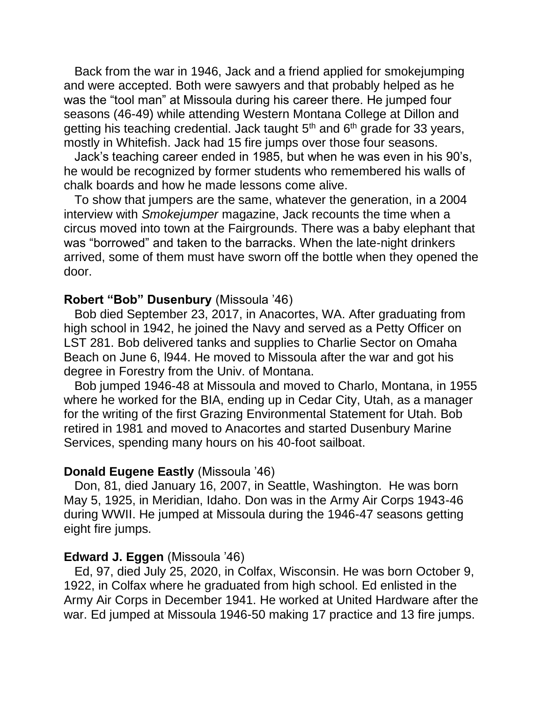Back from the war in 1946, Jack and a friend applied for smokejumping and were accepted. Both were sawyers and that probably helped as he was the "tool man" at Missoula during his career there. He jumped four seasons (46-49) while attending Western Montana College at Dillon and getting his teaching credential. Jack taught  $5<sup>th</sup>$  and  $6<sup>th</sup>$  grade for 33 years, mostly in Whitefish. Jack had 15 fire jumps over those four seasons.

 Jack's teaching career ended in 1985, but when he was even in his 90's, he would be recognized by former students who remembered his walls of chalk boards and how he made lessons come alive.

 To show that jumpers are the same, whatever the generation, in a 2004 interview with *Smokejumper* magazine, Jack recounts the time when a circus moved into town at the Fairgrounds. There was a baby elephant that was "borrowed" and taken to the barracks. When the late-night drinkers arrived, some of them must have sworn off the bottle when they opened the door.

### **Robert "Bob" Dusenbury** (Missoula '46)

 Bob died September 23, 2017, in Anacortes, WA. After graduating from high school in 1942, he joined the Navy and served as a Petty Officer on LST 281. Bob delivered tanks and supplies to Charlie Sector on Omaha Beach on June 6, l944. He moved to Missoula after the war and got his degree in Forestry from the Univ. of Montana.

 Bob jumped 1946-48 at Missoula and moved to Charlo, Montana, in 1955 where he worked for the BIA, ending up in Cedar City, Utah, as a manager for the writing of the first Grazing Environmental Statement for Utah. Bob retired in 1981 and moved to Anacortes and started Dusenbury Marine Services, spending many hours on his 40-foot sailboat.

#### **Donald Eugene Eastly** (Missoula '46)

 Don, 81, died January 16, 2007, in Seattle, Washington. He was born May 5, 1925, in Meridian, Idaho. Don was in the Army Air Corps 1943-46 during WWII. He jumped at Missoula during the 1946-47 seasons getting eight fire jumps.

#### **Edward J. Eggen** (Missoula '46)

 Ed, 97, died July 25, 2020, in Colfax, Wisconsin. He was born October 9, 1922, in Colfax where he graduated from high school. Ed enlisted in the Army Air Corps in December 1941. He worked at United Hardware after the war. Ed jumped at Missoula 1946-50 making 17 practice and 13 fire jumps.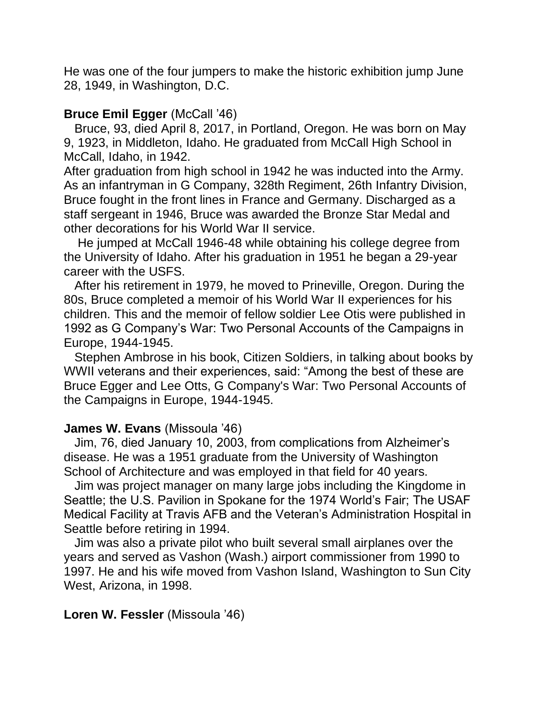He was one of the four jumpers to make the historic exhibition jump June 28, 1949, in Washington, D.C.

## **Bruce Emil Egger** (McCall '46)

 Bruce, 93, died April 8, 2017, in Portland, Oregon. He was born on May 9, 1923, in Middleton, Idaho. He graduated from McCall High School in McCall, Idaho, in 1942.

After graduation from high school in 1942 he was inducted into the Army. As an infantryman in G Company, 328th Regiment, 26th Infantry Division, Bruce fought in the front lines in France and Germany. Discharged as a staff sergeant in 1946, Bruce was awarded the Bronze Star Medal and other decorations for his World War II service.

 He jumped at McCall 1946-48 while obtaining his college degree from the University of Idaho. After his graduation in 1951 he began a 29-year career with the USFS.

 After his retirement in 1979, he moved to Prineville, Oregon. During the 80s, Bruce completed a memoir of his World War II experiences for his children. This and the memoir of fellow soldier Lee Otis were published in 1992 as G Company's War: Two Personal Accounts of the Campaigns in Europe, 1944-1945.

 Stephen Ambrose in his book, Citizen Soldiers, in talking about books by WWII veterans and their experiences, said: "Among the best of these are Bruce Egger and Lee Otts, G Company's War: Two Personal Accounts of the Campaigns in Europe, 1944-1945.

## **James W. Evans** (Missoula '46)

 Jim, 76, died January 10, 2003, from complications from Alzheimer's disease. He was a 1951 graduate from the University of Washington School of Architecture and was employed in that field for 40 years.

 Jim was project manager on many large jobs including the Kingdome in Seattle; the U.S. Pavilion in Spokane for the 1974 World's Fair; The USAF Medical Facility at Travis AFB and the Veteran's Administration Hospital in Seattle before retiring in 1994.

 Jim was also a private pilot who built several small airplanes over the years and served as Vashon (Wash.) airport commissioner from 1990 to 1997. He and his wife moved from Vashon Island, Washington to Sun City West, Arizona, in 1998.

## **Loren W. Fessler** (Missoula '46)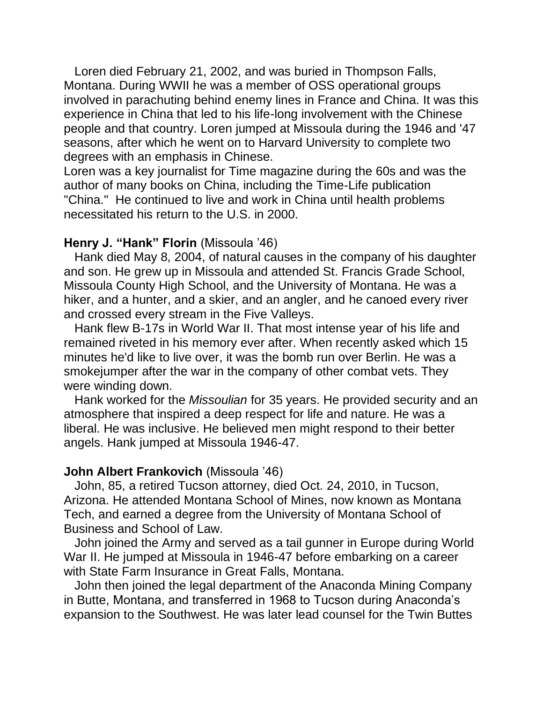Loren died February 21, 2002, and was buried in Thompson Falls, Montana. During WWII he was a member of OSS operational groups involved in parachuting behind enemy lines in France and China. It was this experience in China that led to his life-long involvement with the Chinese people and that country. Loren jumped at Missoula during the 1946 and '47 seasons, after which he went on to Harvard University to complete two degrees with an emphasis in Chinese.

Loren was a key journalist for Time magazine during the 60s and was the author of many books on China, including the Time-Life publication "China." He continued to live and work in China until health problems necessitated his return to the U.S. in 2000.

### **Henry J. "Hank" Florin** (Missoula '46)

 Hank died May 8, 2004, of natural causes in the company of his daughter and son. He grew up in Missoula and attended St. Francis Grade School, Missoula County High School, and the University of Montana. He was a hiker, and a hunter, and a skier, and an angler, and he canoed every river and crossed every stream in the Five Valleys.

 Hank flew B-17s in World War II. That most intense year of his life and remained riveted in his memory ever after. When recently asked which 15 minutes he'd like to live over, it was the bomb run over Berlin. He was a smokejumper after the war in the company of other combat vets. They were winding down.

 Hank worked for the *Missoulian* for 35 years. He provided security and an atmosphere that inspired a deep respect for life and nature. He was a liberal. He was inclusive. He believed men might respond to their better angels. Hank jumped at Missoula 1946-47.

## **John Albert Frankovich** (Missoula '46)

 John, 85, a retired Tucson attorney, died Oct. 24, 2010, in Tucson, Arizona. He attended Montana School of Mines, now known as Montana Tech, and earned a degree from the University of Montana School of Business and School of Law.

 John joined the Army and served as a tail gunner in Europe during World War II. He jumped at Missoula in 1946-47 before embarking on a career with State Farm Insurance in Great Falls, Montana.

 John then joined the legal department of the Anaconda Mining Company in Butte, Montana, and transferred in 1968 to Tucson during Anaconda's expansion to the Southwest. He was later lead counsel for the Twin Buttes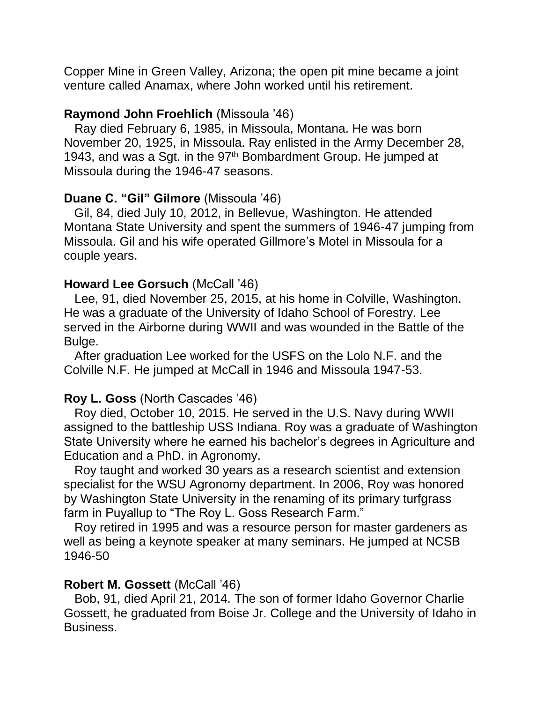Copper Mine in Green Valley, Arizona; the open pit mine became a joint venture called Anamax, where John worked until his retirement.

## **Raymond John Froehlich** (Missoula '46)

 Ray died February 6, 1985, in Missoula, Montana. He was born November 20, 1925, in Missoula. Ray enlisted in the Army December 28, 1943, and was a Sqt. in the  $97<sup>th</sup>$  Bombardment Group. He jumped at Missoula during the 1946-47 seasons.

## **Duane C. "Gil" Gilmore** (Missoula '46)

 Gil, 84, died July 10, 2012, in Bellevue, Washington. He attended Montana State University and spent the summers of 1946-47 jumping from Missoula. Gil and his wife operated Gillmore's Motel in Missoula for a couple years.

## **Howard Lee Gorsuch** (McCall '46)

 Lee, 91, died November 25, 2015, at his home in Colville, Washington. He was a graduate of the University of Idaho School of Forestry. Lee served in the Airborne during WWII and was wounded in the Battle of the Bulge.

 After graduation Lee worked for the USFS on the Lolo N.F. and the Colville N.F. He jumped at McCall in 1946 and Missoula 1947-53.

## **Roy L. Goss** (North Cascades '46)

 Roy died, October 10, 2015. He served in the U.S. Navy during WWII assigned to the battleship USS Indiana. Roy was a graduate of Washington State University where he earned his bachelor's degrees in Agriculture and Education and a PhD. in Agronomy.

 Roy taught and worked 30 years as a research scientist and extension specialist for the WSU Agronomy department. In 2006, Roy was honored by Washington State University in the renaming of its primary turfgrass farm in Puyallup to "The Roy L. Goss Research Farm."

 Roy retired in 1995 and was a resource person for master gardeners as well as being a keynote speaker at many seminars. He jumped at NCSB 1946-50

## **Robert M. Gossett** (McCall '46)

 Bob, 91, died April 21, 2014. The son of former Idaho Governor Charlie Gossett, he graduated from Boise Jr. College and the University of Idaho in Business.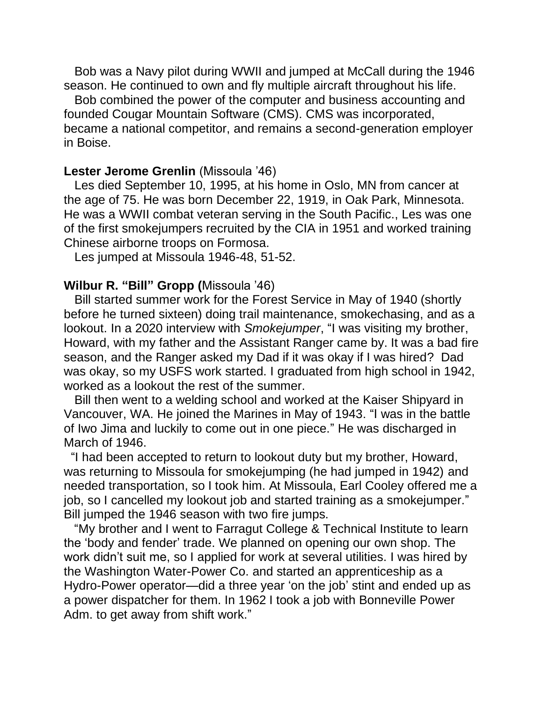Bob was a Navy pilot during WWII and jumped at McCall during the 1946 season. He continued to own and fly multiple aircraft throughout his life.

 Bob combined the power of the computer and business accounting and founded Cougar Mountain Software (CMS). CMS was incorporated, became a national competitor, and remains a second-generation employer in Boise.

#### **Lester Jerome Grenlin** (Missoula '46)

 Les died September 10, 1995, at his home in Oslo, MN from cancer at the age of 75. He was born December 22, 1919, in Oak Park, Minnesota. He was a WWII combat veteran serving in the South Pacific., Les was one of the first smokejumpers recruited by the CIA in 1951 and worked training Chinese airborne troops on Formosa.

Les jumped at Missoula 1946-48, 51-52.

### **Wilbur R. "Bill" Gropp (**Missoula '46)

 Bill started summer work for the Forest Service in May of 1940 (shortly before he turned sixteen) doing trail maintenance, smokechasing, and as a lookout. In a 2020 interview with *Smokejumper*, "I was visiting my brother, Howard, with my father and the Assistant Ranger came by. It was a bad fire season, and the Ranger asked my Dad if it was okay if I was hired? Dad was okay, so my USFS work started. I graduated from high school in 1942, worked as a lookout the rest of the summer.

 Bill then went to a welding school and worked at the Kaiser Shipyard in Vancouver, WA. He joined the Marines in May of 1943. "I was in the battle of Iwo Jima and luckily to come out in one piece." He was discharged in March of 1946.

 "I had been accepted to return to lookout duty but my brother, Howard, was returning to Missoula for smokejumping (he had jumped in 1942) and needed transportation, so I took him. At Missoula, Earl Cooley offered me a job, so I cancelled my lookout job and started training as a smokejumper." Bill jumped the 1946 season with two fire jumps.

 "My brother and I went to Farragut College & Technical Institute to learn the 'body and fender' trade. We planned on opening our own shop. The work didn't suit me, so I applied for work at several utilities. I was hired by the Washington Water-Power Co. and started an apprenticeship as a Hydro-Power operator—did a three year 'on the job' stint and ended up as a power dispatcher for them. In 1962 I took a job with Bonneville Power Adm. to get away from shift work."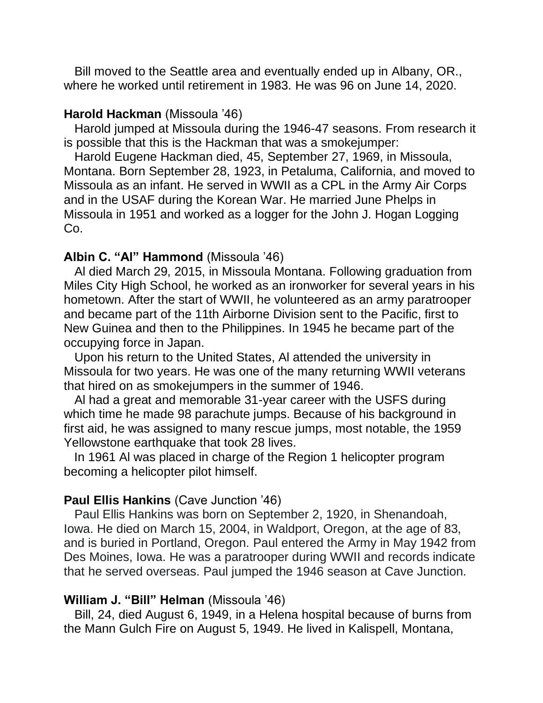Bill moved to the Seattle area and eventually ended up in Albany, OR., where he worked until retirement in 1983. He was 96 on June 14, 2020.

### **Harold Hackman** (Missoula '46)

 Harold jumped at Missoula during the 1946-47 seasons. From research it is possible that this is the Hackman that was a smokejumper:

 Harold Eugene Hackman died, 45, September 27, 1969, in Missoula, Montana. Born September 28, 1923, in Petaluma, California, and moved to Missoula as an infant. He served in WWII as a CPL in the Army Air Corps and in the USAF during the Korean War. He married June Phelps in Missoula in 1951 and worked as a logger for the John J. Hogan Logging Co.

## **Albin C. "Al" Hammond** (Missoula '46)

 Al died March 29, 2015, in Missoula Montana. Following graduation from Miles City High School, he worked as an ironworker for several years in his hometown. After the start of WWII, he volunteered as an army paratrooper and became part of the 11th Airborne Division sent to the Pacific, first to New Guinea and then to the Philippines. In 1945 he became part of the occupying force in Japan.

 Upon his return to the United States, Al attended the university in Missoula for two years. He was one of the many returning WWII veterans that hired on as smokejumpers in the summer of 1946.

 Al had a great and memorable 31-year career with the USFS during which time he made 98 parachute jumps. Because of his background in first aid, he was assigned to many rescue jumps, most notable, the 1959 Yellowstone earthquake that took 28 lives.

 In 1961 Al was placed in charge of the Region 1 helicopter program becoming a helicopter pilot himself.

## **Paul Ellis Hankins** (Cave Junction '46)

 Paul Ellis Hankins was born on September 2, 1920, in Shenandoah, Iowa. He died on March 15, 2004, in Waldport, Oregon, at the age of 83, and is buried in Portland, Oregon. Paul entered the Army in May 1942 from Des Moines, Iowa. He was a paratrooper during WWII and records indicate that he served overseas. Paul jumped the 1946 season at Cave Junction.

### **William J. "Bill" Helman** (Missoula '46)

Bill, 24, died August 6, 1949, in a Helena hospital because of burns from the Mann Gulch Fire on August 5, 1949. He lived in Kalispell, Montana,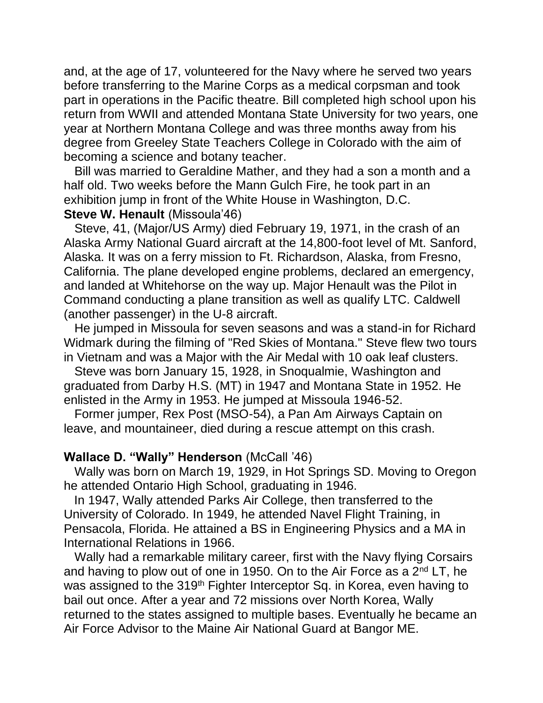and, at the age of 17, volunteered for the Navy where he served two years before transferring to the Marine Corps as a medical corpsman and took part in operations in the Pacific theatre. Bill completed high school upon his return from WWII and attended Montana State University for two years, one year at Northern Montana College and was three months away from his degree from Greeley State Teachers College in Colorado with the aim of becoming a science and botany teacher.

 Bill was married to Geraldine Mather, and they had a son a month and a half old. Two weeks before the Mann Gulch Fire, he took part in an exhibition jump in front of the White House in Washington, D.C.

## **Steve W. Henault (Missoula'46)**

 Steve, 41, (Major/US Army) died February 19, 1971, in the crash of an Alaska Army National Guard aircraft at the 14,800-foot level of Mt. Sanford, Alaska. It was on a ferry mission to Ft. Richardson, Alaska, from Fresno, California. The plane developed engine problems, declared an emergency, and landed at Whitehorse on the way up. Major Henault was the Pilot in Command conducting a plane transition as well as qualify LTC. Caldwell (another passenger) in the U-8 aircraft.

 He jumped in Missoula for seven seasons and was a stand-in for Richard Widmark during the filming of "Red Skies of Montana." Steve flew two tours in Vietnam and was a Major with the Air Medal with 10 oak leaf clusters.

 Steve was born January 15, 1928, in Snoqualmie, Washington and graduated from Darby H.S. (MT) in 1947 and Montana State in 1952. He enlisted in the Army in 1953. He jumped at Missoula 1946-52.

 Former jumper, Rex Post (MSO-54), a Pan Am Airways Captain on leave, and mountaineer, died during a rescue attempt on this crash.

## **Wallace D. "Wally" Henderson** (McCall '46)

 Wally was born on March 19, 1929, in Hot Springs SD. Moving to Oregon he attended Ontario High School, graduating in 1946.

 In 1947, Wally attended Parks Air College, then transferred to the University of Colorado. In 1949, he attended Navel Flight Training, in Pensacola, Florida. He attained a BS in Engineering Physics and a MA in International Relations in 1966.

 Wally had a remarkable military career, first with the Navy flying Corsairs and having to plow out of one in 1950. On to the Air Force as a  $2<sup>nd</sup> LT$ , he was assigned to the 319<sup>th</sup> Fighter Interceptor Sq. in Korea, even having to bail out once. After a year and 72 missions over North Korea, Wally returned to the states assigned to multiple bases. Eventually he became an Air Force Advisor to the Maine Air National Guard at Bangor ME.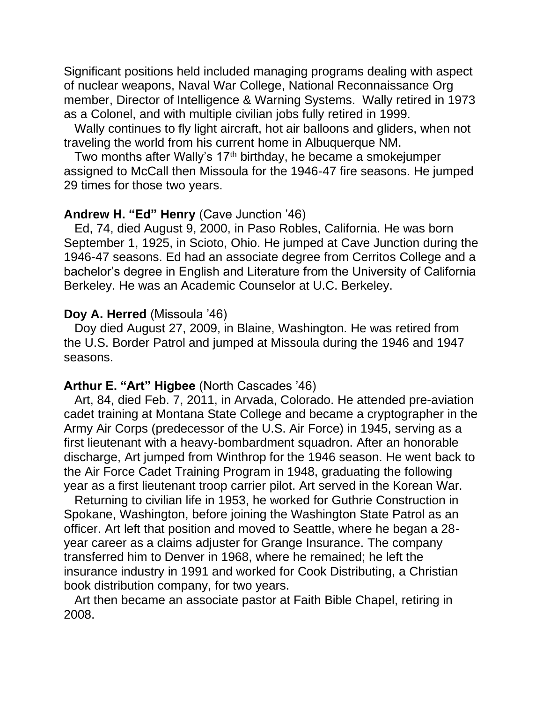Significant positions held included managing programs dealing with aspect of nuclear weapons, Naval War College, National Reconnaissance Org member, Director of Intelligence & Warning Systems. Wally retired in 1973 as a Colonel, and with multiple civilian jobs fully retired in 1999.

 Wally continues to fly light aircraft, hot air balloons and gliders, when not traveling the world from his current home in Albuquerque NM.

Two months after Wally's 17<sup>th</sup> birthday, he became a smokejumper assigned to McCall then Missoula for the 1946-47 fire seasons. He jumped 29 times for those two years.

### **Andrew H. "Ed" Henry** (Cave Junction '46)

 Ed, 74, died August 9, 2000, in Paso Robles, California. He was born September 1, 1925, in Scioto, Ohio. He jumped at Cave Junction during the 1946-47 seasons. Ed had an associate degree from Cerritos College and a bachelor's degree in English and Literature from the University of California Berkeley. He was an Academic Counselor at U.C. Berkeley.

#### **Doy A. Herred** (Missoula '46)

 Doy died August 27, 2009, in Blaine, Washington. He was retired from the U.S. Border Patrol and jumped at Missoula during the 1946 and 1947 seasons.

### **Arthur E. "Art" Higbee** (North Cascades '46)

 Art, 84, died Feb. 7, 2011, in Arvada, Colorado. He attended pre-aviation cadet training at Montana State College and became a cryptographer in the Army Air Corps (predecessor of the U.S. Air Force) in 1945, serving as a first lieutenant with a heavy-bombardment squadron. After an honorable discharge, Art jumped from Winthrop for the 1946 season. He went back to the Air Force Cadet Training Program in 1948, graduating the following year as a first lieutenant troop carrier pilot. Art served in the Korean War.

 Returning to civilian life in 1953, he worked for Guthrie Construction in Spokane, Washington, before joining the Washington State Patrol as an officer. Art left that position and moved to Seattle, where he began a 28 year career as a claims adjuster for Grange Insurance. The company transferred him to Denver in 1968, where he remained; he left the insurance industry in 1991 and worked for Cook Distributing, a Christian book distribution company, for two years.

 Art then became an associate pastor at Faith Bible Chapel, retiring in 2008.